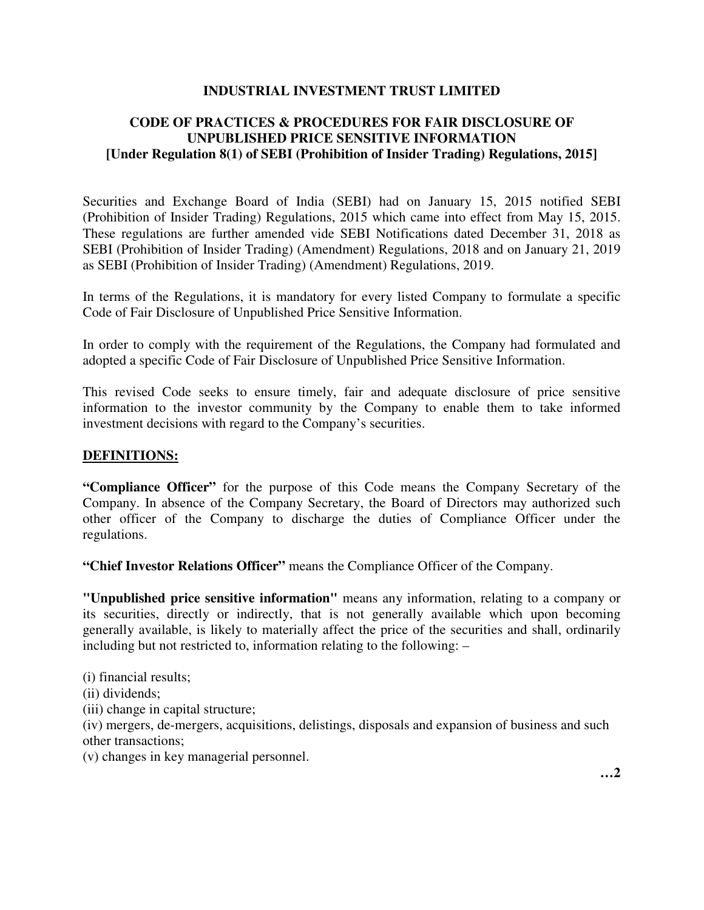#### **INDUSTRIAL INVESTMENT TRUST LIMITED**

## **CODE OF PRACTICES & PROCEDURES FOR FAIR DISCLOSURE OF UNPUBLISHED PRICE SENSITIVE INFORMATION [Under Regulation 8(1) of SEBI (Prohibition of Insider Trading) Regulations, 2015]**

Securities and Exchange Board of India (SEBI) had on January 15, 2015 notified SEBI (Prohibition of Insider Trading) Regulations, 2015 which came into effect from May 15, 2015. These regulations are further amended vide SEBI Notifications dated December 31, 2018 as SEBI (Prohibition of Insider Trading) (Amendment) Regulations, 2018 and on January 21, 2019 as SEBI (Prohibition of Insider Trading) (Amendment) Regulations, 2019.

In terms of the Regulations, it is mandatory for every listed Company to formulate a specific Code of Fair Disclosure of Unpublished Price Sensitive Information.

In order to comply with the requirement of the Regulations, the Company had formulated and adopted a specific Code of Fair Disclosure of Unpublished Price Sensitive Information.

This revised Code seeks to ensure timely, fair and adequate disclosure of price sensitive information to the investor community by the Company to enable them to take informed investment decisions with regard to the Company's securities.

#### **DEFINITIONS:**

**"Compliance Officer"** for the purpose of this Code means the Company Secretary of the Company. In absence of the Company Secretary, the Board of Directors may authorized such other officer of the Company to discharge the duties of Compliance Officer under the regulations.

**"Chief Investor Relations Officer"** means the Compliance Officer of the Company.

**"Unpublished price sensitive information"** means any information, relating to a company or its securities, directly or indirectly, that is not generally available which upon becoming generally available, is likely to materially affect the price of the securities and shall, ordinarily including but not restricted to, information relating to the following: –

(i) financial results;

- (ii) dividends;
- (iii) change in capital structure;

(iv) mergers, de-mergers, acquisitions, delistings, disposals and expansion of business and such other transactions;

(v) changes in key managerial personnel.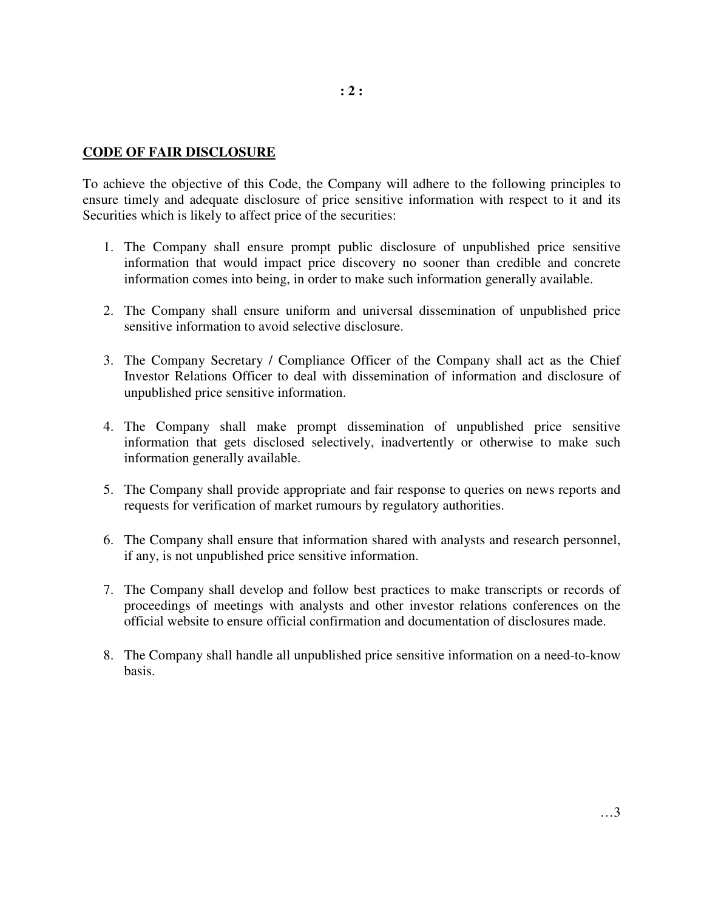To achieve the objective of this Code, the Company will adhere to the following principles to ensure timely and adequate disclosure of price sensitive information with respect to it and its Securities which is likely to affect price of the securities:

- 1. The Company shall ensure prompt public disclosure of unpublished price sensitive information that would impact price discovery no sooner than credible and concrete information comes into being, in order to make such information generally available.
- 2. The Company shall ensure uniform and universal dissemination of unpublished price sensitive information to avoid selective disclosure.
- 3. The Company Secretary / Compliance Officer of the Company shall act as the Chief Investor Relations Officer to deal with dissemination of information and disclosure of unpublished price sensitive information.
- 4. The Company shall make prompt dissemination of unpublished price sensitive information that gets disclosed selectively, inadvertently or otherwise to make such information generally available.
- 5. The Company shall provide appropriate and fair response to queries on news reports and requests for verification of market rumours by regulatory authorities.
- 6. The Company shall ensure that information shared with analysts and research personnel, if any, is not unpublished price sensitive information.
- 7. The Company shall develop and follow best practices to make transcripts or records of proceedings of meetings with analysts and other investor relations conferences on the official website to ensure official confirmation and documentation of disclosures made.
- 8. The Company shall handle all unpublished price sensitive information on a need-to-know basis.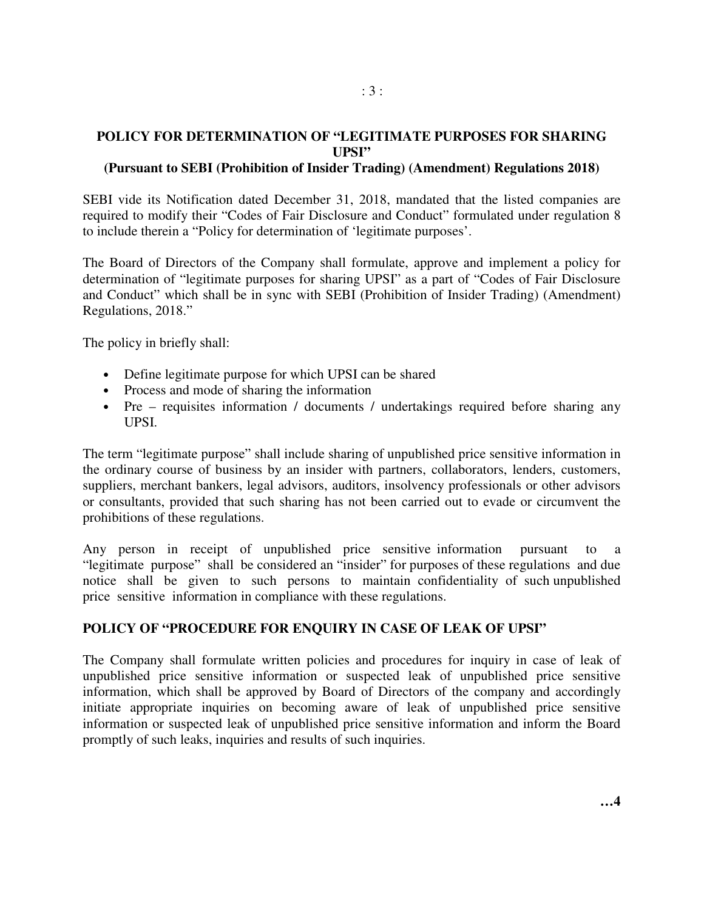# **POLICY FOR DETERMINATION OF "LEGITIMATE PURPOSES FOR SHARING UPSI"**

#### **(Pursuant to SEBI (Prohibition of Insider Trading) (Amendment) Regulations 2018)**

SEBI vide its Notification dated December 31, 2018, mandated that the listed companies are required to modify their "Codes of Fair Disclosure and Conduct" formulated under regulation 8 to include therein a "Policy for determination of 'legitimate purposes'.

The Board of Directors of the Company shall formulate, approve and implement a policy for determination of "legitimate purposes for sharing UPSI" as a part of "Codes of Fair Disclosure and Conduct" which shall be in sync with SEBI (Prohibition of Insider Trading) (Amendment) Regulations, 2018."

The policy in briefly shall:

- Define legitimate purpose for which UPSI can be shared
- Process and mode of sharing the information
- Pre requisites information / documents / undertakings required before sharing any UPSI.

The term "legitimate purpose" shall include sharing of unpublished price sensitive information in the ordinary course of business by an insider with partners, collaborators, lenders, customers, suppliers, merchant bankers, legal advisors, auditors, insolvency professionals or other advisors or consultants, provided that such sharing has not been carried out to evade or circumvent the prohibitions of these regulations.

Any person in receipt of unpublished price sensitive information pursuant to a "legitimate purpose" shall be considered an "insider" for purposes of these regulations and due notice shall be given to such persons to maintain confidentiality of such unpublished price sensitive information in compliance with these regulations.

## **POLICY OF "PROCEDURE FOR ENQUIRY IN CASE OF LEAK OF UPSI"**

The Company shall formulate written policies and procedures for inquiry in case of leak of unpublished price sensitive information or suspected leak of unpublished price sensitive information, which shall be approved by Board of Directors of the company and accordingly initiate appropriate inquiries on becoming aware of leak of unpublished price sensitive information or suspected leak of unpublished price sensitive information and inform the Board promptly of such leaks, inquiries and results of such inquiries.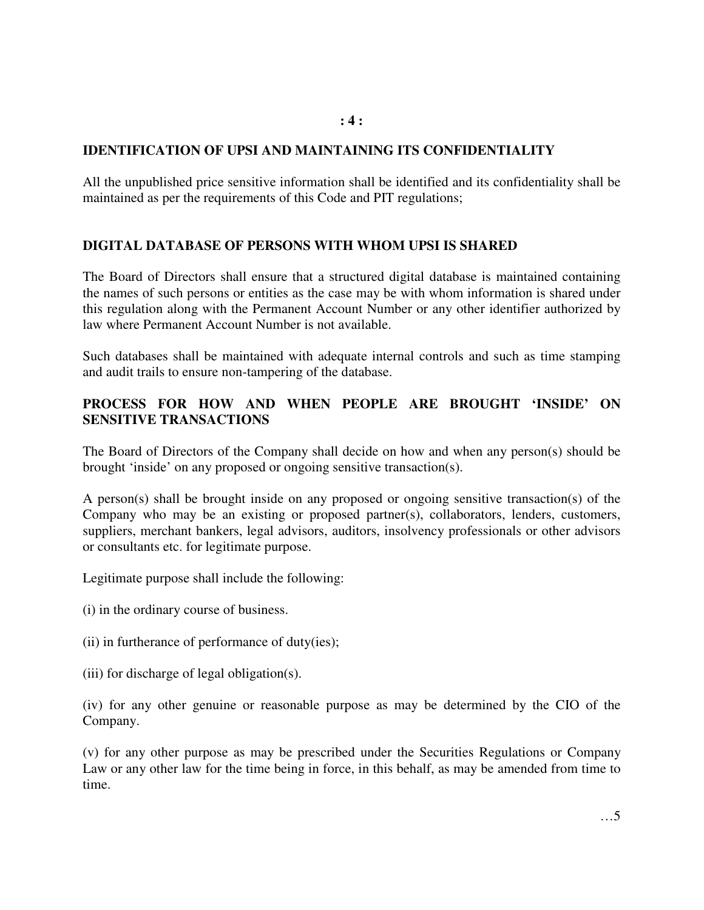#### **: 4 :**

#### **IDENTIFICATION OF UPSI AND MAINTAINING ITS CONFIDENTIALITY**

All the unpublished price sensitive information shall be identified and its confidentiality shall be maintained as per the requirements of this Code and PIT regulations;

## **DIGITAL DATABASE OF PERSONS WITH WHOM UPSI IS SHARED**

The Board of Directors shall ensure that a structured digital database is maintained containing the names of such persons or entities as the case may be with whom information is shared under this regulation along with the Permanent Account Number or any other identifier authorized by law where Permanent Account Number is not available.

Such databases shall be maintained with adequate internal controls and such as time stamping and audit trails to ensure non-tampering of the database.

# **PROCESS FOR HOW AND WHEN PEOPLE ARE BROUGHT 'INSIDE' ON SENSITIVE TRANSACTIONS**

The Board of Directors of the Company shall decide on how and when any person(s) should be brought 'inside' on any proposed or ongoing sensitive transaction(s).

A person(s) shall be brought inside on any proposed or ongoing sensitive transaction(s) of the Company who may be an existing or proposed partner(s), collaborators, lenders, customers, suppliers, merchant bankers, legal advisors, auditors, insolvency professionals or other advisors or consultants etc. for legitimate purpose.

Legitimate purpose shall include the following:

- (i) in the ordinary course of business.
- (ii) in furtherance of performance of duty(ies);
- (iii) for discharge of legal obligation(s).

(iv) for any other genuine or reasonable purpose as may be determined by the CIO of the Company.

(v) for any other purpose as may be prescribed under the Securities Regulations or Company Law or any other law for the time being in force, in this behalf, as may be amended from time to time.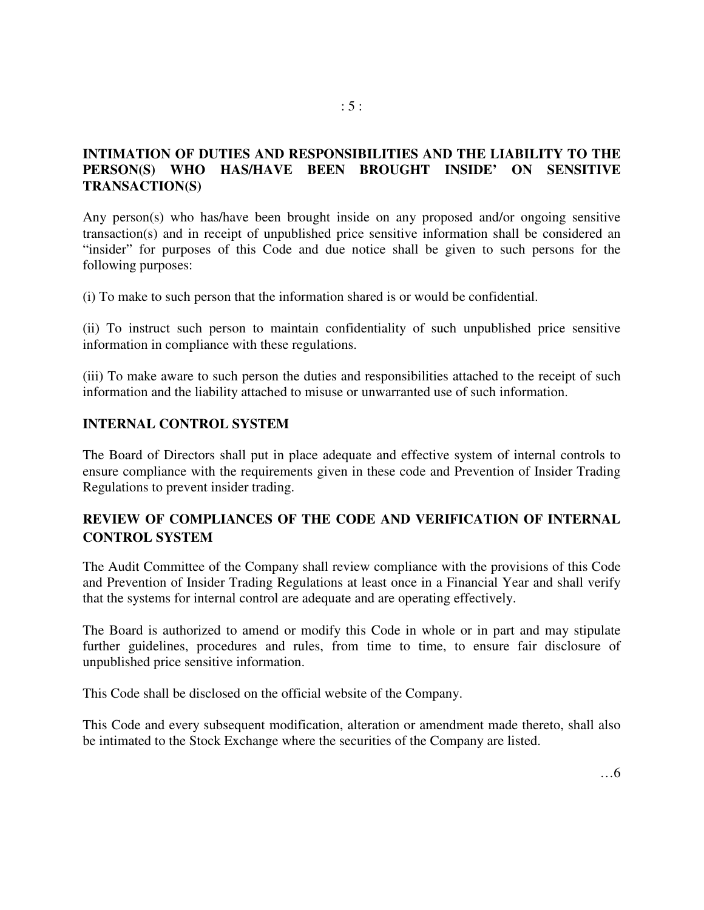## **INTIMATION OF DUTIES AND RESPONSIBILITIES AND THE LIABILITY TO THE PERSON(S) WHO HAS/HAVE BEEN BROUGHT INSIDE' ON SENSITIVE TRANSACTION(S)**

Any person(s) who has/have been brought inside on any proposed and/or ongoing sensitive transaction(s) and in receipt of unpublished price sensitive information shall be considered an "insider" for purposes of this Code and due notice shall be given to such persons for the following purposes:

(i) To make to such person that the information shared is or would be confidential.

(ii) To instruct such person to maintain confidentiality of such unpublished price sensitive information in compliance with these regulations.

(iii) To make aware to such person the duties and responsibilities attached to the receipt of such information and the liability attached to misuse or unwarranted use of such information.

#### **INTERNAL CONTROL SYSTEM**

The Board of Directors shall put in place adequate and effective system of internal controls to ensure compliance with the requirements given in these code and Prevention of Insider Trading Regulations to prevent insider trading.

## **REVIEW OF COMPLIANCES OF THE CODE AND VERIFICATION OF INTERNAL CONTROL SYSTEM**

The Audit Committee of the Company shall review compliance with the provisions of this Code and Prevention of Insider Trading Regulations at least once in a Financial Year and shall verify that the systems for internal control are adequate and are operating effectively.

The Board is authorized to amend or modify this Code in whole or in part and may stipulate further guidelines, procedures and rules, from time to time, to ensure fair disclosure of unpublished price sensitive information.

This Code shall be disclosed on the official website of the Company.

This Code and every subsequent modification, alteration or amendment made thereto, shall also be intimated to the Stock Exchange where the securities of the Company are listed.